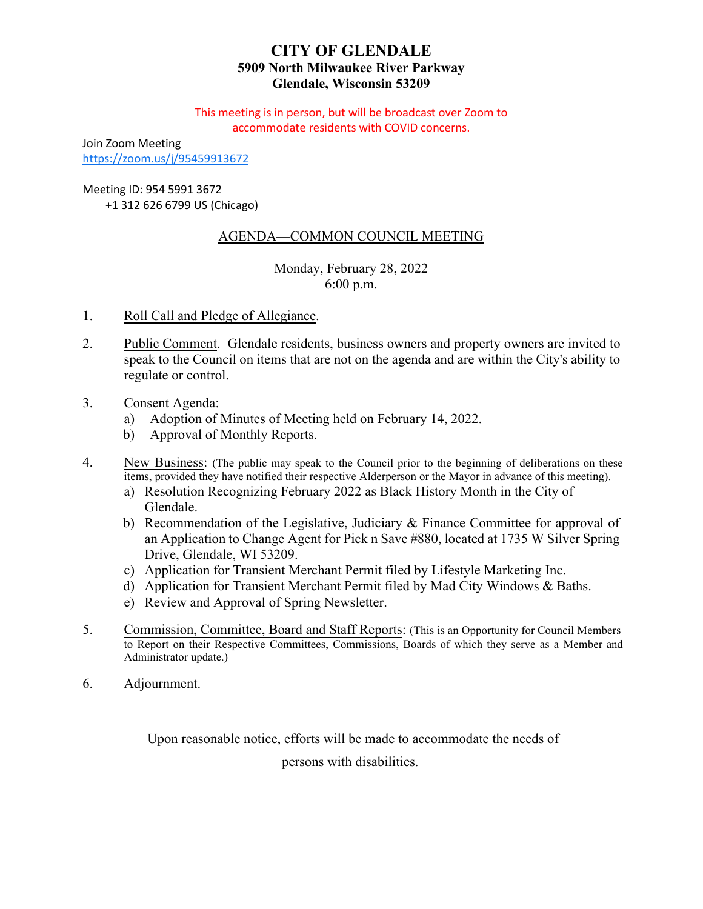# **CITY OF GLENDALE 5909 North Milwaukee River Parkway Glendale, Wisconsin 53209**

This meeting is in person, but will be broadcast over Zoom to accommodate residents with COVID concerns.

Join Zoom Meeting <https://zoom.us/j/95459913672>

Meeting ID: 954 5991 3672

+1 312 626 6799 US (Chicago)

# AGENDA—COMMON COUNCIL MEETING

Monday, February 28, 2022 6:00 p.m.

- 1. Roll Call and Pledge of Allegiance.
- 2. Public Comment. Glendale residents, business owners and property owners are invited to speak to the Council on items that are not on the agenda and are within the City's ability to regulate or control.
- 3. Consent Agenda:
	- a) [Adoption of Minutes of Meeting held on February 14, 2022.](#page-1-0)
	- b) Approval of Monthly Reports.
- 4. New Business: (The public may speak to the Council prior to the beginning of deliberations on these items, provided they have notified their respective Alderperson or the Mayor in advance of this meeting).
	- a) [Resolution Recognizing February 2022 as Black History Month in the City of](#page-2-0)  Glendale.
	- b) Recommendation of the Legislative, Judiciary & Finance Committee for approval of [an Application to Change Agent for Pick n Save #880, located at 1735 W Silver Spring](#page-3-0) [Drive, Glendale, WI 53209.](#page-4-0)
	- c) [Application for Transient Merchant Permit filed by](#page-4-0) Lifestyle Marketing Inc.
	- d) [Application for Transient Merchant Permit filed by Mad City Windows & Baths.](#page-5-0)
	- e) [Review and Approval of Spring Newsletter](#page-6-0).
- 5. Commission, Committee, Board and Staff Reports: (This is an Opportunity for Council Members to Report on their Respective Committees, Commissions, Boards of which they serve as a Member and Administrator update.)
- 6. Adjournment.

Upon reasonable notice, efforts will be made to accommodate the needs of

persons with disabilities.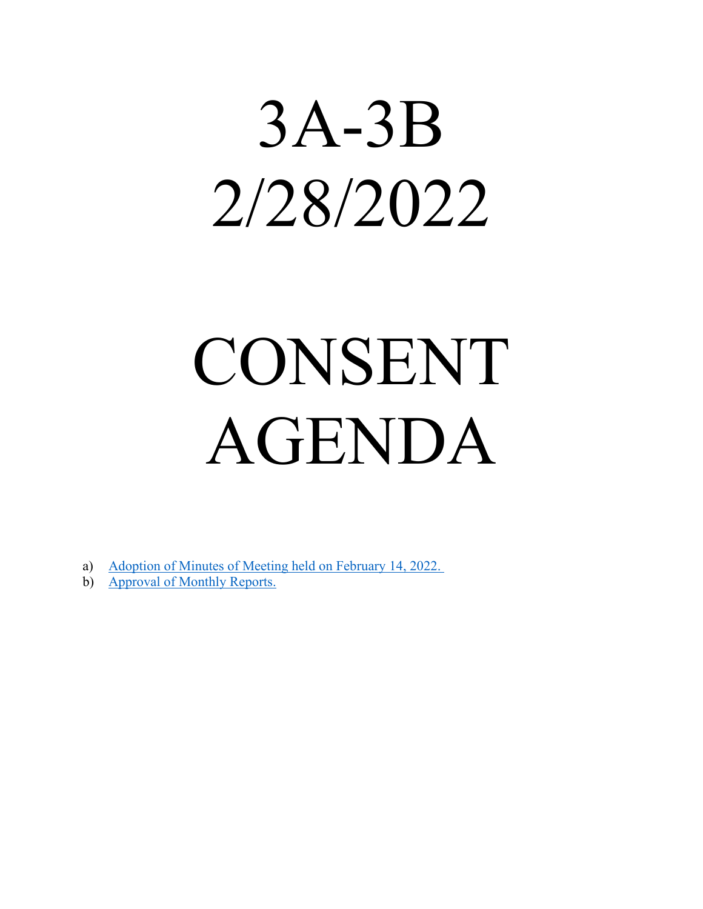# <span id="page-1-0"></span>3A-3B 2/28/2022

# CONSENT AGENDA

- a) [Adoption of Minutes of Meeting held on February 14, 2022.](https://www.glendale-wi.org/DocumentCenter/View/2433/Council-Minutes-2-14-2022)
- b) [Approval of Monthly Reports.](https://www.glendale-wi.org/DocumentCenter/View/2432/January-2022-for-Common-Council)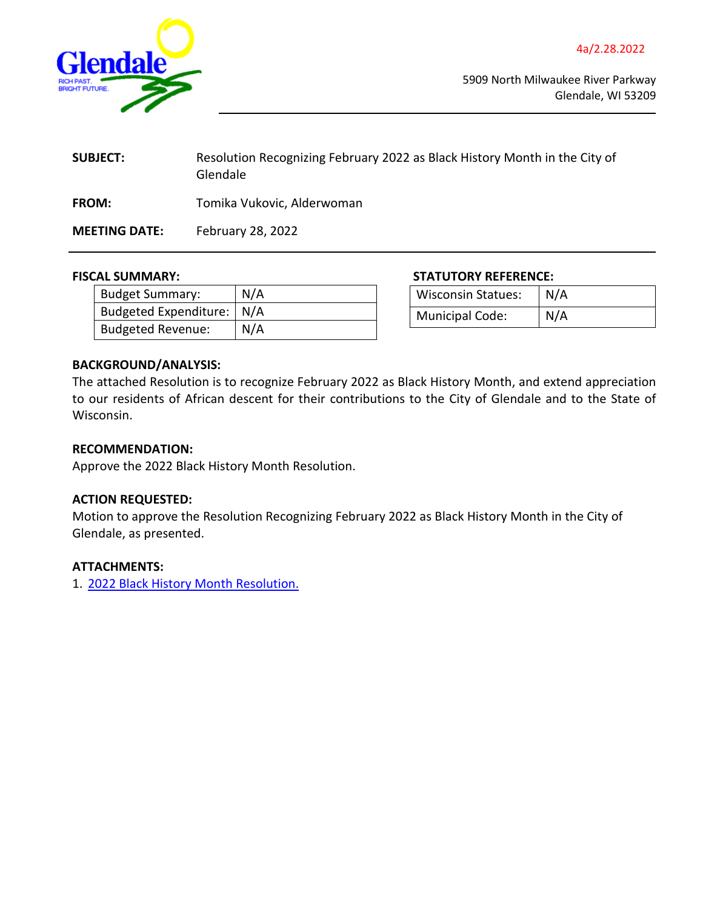<span id="page-2-0"></span>

| <b>SUBJECT:</b>      | Resolution Recognizing February 2022 as Black History Month in the City of<br>Glendale |
|----------------------|----------------------------------------------------------------------------------------|
| <b>FROM:</b>         | Tomika Vukovic, Alderwoman                                                             |
| <b>MEETING DATE:</b> | February 28, 2022                                                                      |

| <b>Budget Summary:</b>   | N/A |
|--------------------------|-----|
| Budgeted Expenditure:    | N/A |
| <b>Budgeted Revenue:</b> | N/A |

#### **FISCAL SUMMARY: STATUTORY REFERENCE:**

| <b>Wisconsin Statues:</b> | N/A |
|---------------------------|-----|
| <b>Municipal Code:</b>    | N/A |

### **BACKGROUND/ANALYSIS:**

The attached Resolution is to recognize February 2022 as Black History Month, and extend appreciation to our residents of African descent for their contributions to the City of Glendale and to the State of Wisconsin.

#### **RECOMMENDATION:**

Approve the 2022 Black History Month Resolution.

## **ACTION REQUESTED:**

Motion to approve the Resolution Recognizing February 2022 as Black History Month in the City of Glendale, as presented.

#### **ATTACHMENTS:**

1. [2022 Black History Month Resolution.](https://www.glendale-wi.org/DocumentCenter/View/2436/Resolution-22-05-Recognizing-February-2022-as-Black-History-Month)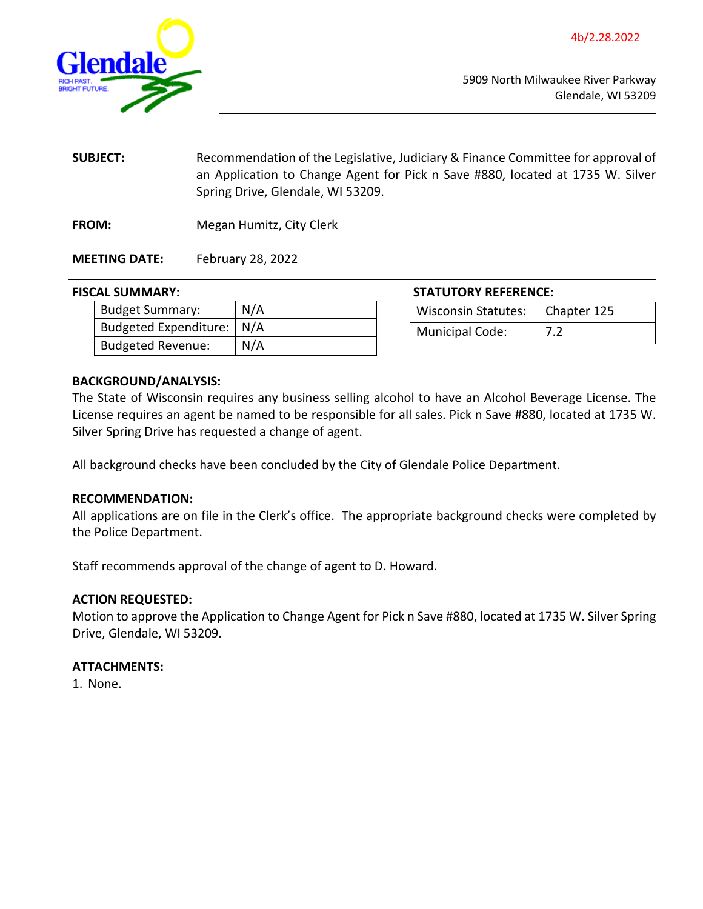<span id="page-3-0"></span>

**SUBJECT:** Recommendation of the Legislative, Judiciary & Finance Committee for approval of an Application to Change Agent for Pick n Save #880, located at 1735 W. Silver Spring Drive, Glendale, WI 53209.

**FROM:** Megan Humitz, City Clerk

**MEETING DATE:** February 28, 2022

#### **FISCAL SUMMARY:**

| <b>Budget Summary:</b>      | N/A |
|-----------------------------|-----|
| Budgeted Expenditure:   N/A |     |
| <b>Budgeted Revenue:</b>    | N/A |

| <b>STATUTORY REFERENCE:</b>       |  |
|-----------------------------------|--|
| Wisconsin Statutes:   Chapter 125 |  |

Municipal Code: | 7.2

### **BACKGROUND/ANALYSIS:**

The State of Wisconsin requires any business selling alcohol to have an Alcohol Beverage License. The License requires an agent be named to be responsible for all sales. Pick n Save #880, located at 1735 W. Silver Spring Drive has requested a change of agent.

All background checks have been concluded by the City of Glendale Police Department.

#### **RECOMMENDATION:**

All applications are on file in the Clerk's office. The appropriate background checks were completed by the Police Department.

Staff recommends approval of the change of agent to D. Howard.

#### **ACTION REQUESTED:**

Motion to approve the Application to Change Agent for Pick n Save #880, located at 1735 W. Silver Spring Drive, Glendale, WI 53209.

#### **ATTACHMENTS:**

1. None.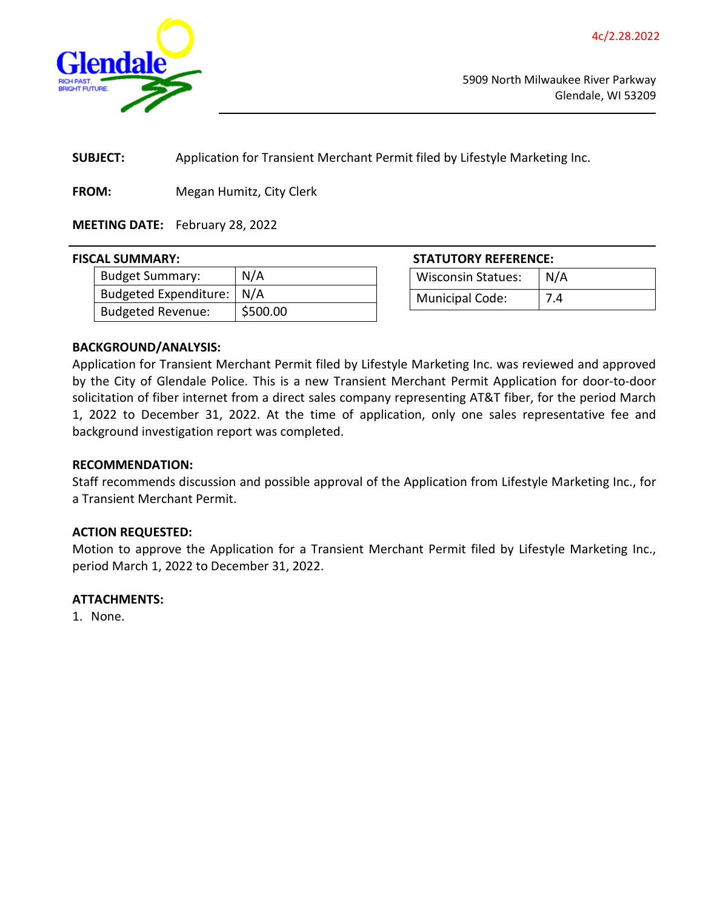<span id="page-4-0"></span>

**SUBJECT:** Application for Transient Merchant Permit filed by Lifestyle Marketing Inc.

**FROM:** Megan Humitz, City Clerk

## **MEETING DATE:** February 28, 2022

| .                           |          |
|-----------------------------|----------|
| Budget Summary:             | N/A      |
| Budgeted Expenditure:   N/A |          |
| <b>Budgeted Revenue:</b>    | \$500.00 |

**FISCAL SUMMARY: STATUTORY REFERENCE:**

| <b>Wisconsin Statues:</b> | N/A |
|---------------------------|-----|
| <b>Municipal Code:</b>    | 7.4 |

#### **BACKGROUND/ANALYSIS:**

Application for Transient Merchant Permit filed by Lifestyle Marketing Inc. was reviewed and approved by the City of Glendale Police. This is a new Transient Merchant Permit Application for door-to-door solicitation of fiber internet from a direct sales company representing AT&T fiber, for the period March 1, 2022 to December 31, 2022. At the time of application, only one sales representative fee and background investigation report was completed.

#### **RECOMMENDATION:**

Staff recommends discussion and possible approval of the Application from Lifestyle Marketing Inc., for a Transient Merchant Permit.

#### **ACTION REQUESTED:**

Motion to approve the Application for a Transient Merchant Permit filed by Lifestyle Marketing Inc., period March 1, 2022 to December 31, 2022.

#### **ATTACHMENTS:**

1. None.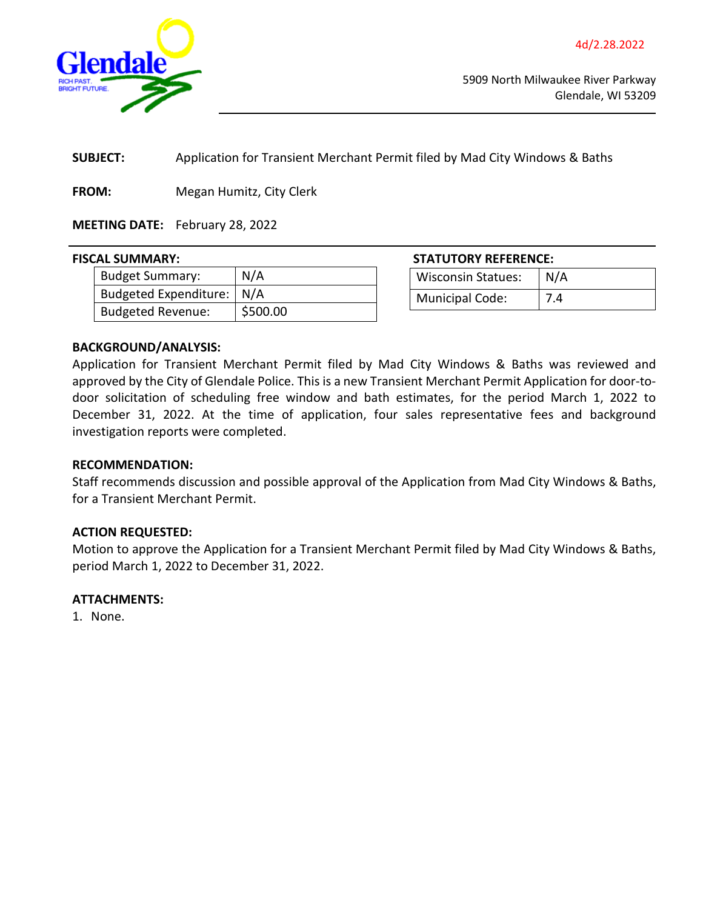<span id="page-5-0"></span>

**SUBJECT:** Application for Transient Merchant Permit filed by Mad City Windows & Baths

**FROM:** Megan Humitz, City Clerk

## **MEETING DATE:** February 28, 2022

#### **FISCAL SUMMARY:**

| Budget Summary:           | N/A      |
|---------------------------|----------|
| Budgeted Expenditure: N/A |          |
| <b>Budgeted Revenue:</b>  | \$500.00 |

| STATUTORY REFERENCE:      |            |
|---------------------------|------------|
| <b>Wisconsin Statues:</b> | $\mid N/A$ |
|                           |            |

Municipal Code: | 7.4

### **BACKGROUND/ANALYSIS:**

Application for Transient Merchant Permit filed by Mad City Windows & Baths was reviewed and approved by the City of Glendale Police. This is a new Transient Merchant Permit Application for door-todoor solicitation of scheduling free window and bath estimates, for the period March 1, 2022 to December 31, 2022. At the time of application, four sales representative fees and background investigation reports were completed.

#### **RECOMMENDATION:**

Staff recommends discussion and possible approval of the Application from Mad City Windows & Baths, for a Transient Merchant Permit.

#### **ACTION REQUESTED:**

Motion to approve the Application for a Transient Merchant Permit filed by Mad City Windows & Baths, period March 1, 2022 to December 31, 2022.

#### **ATTACHMENTS:**

1. None.